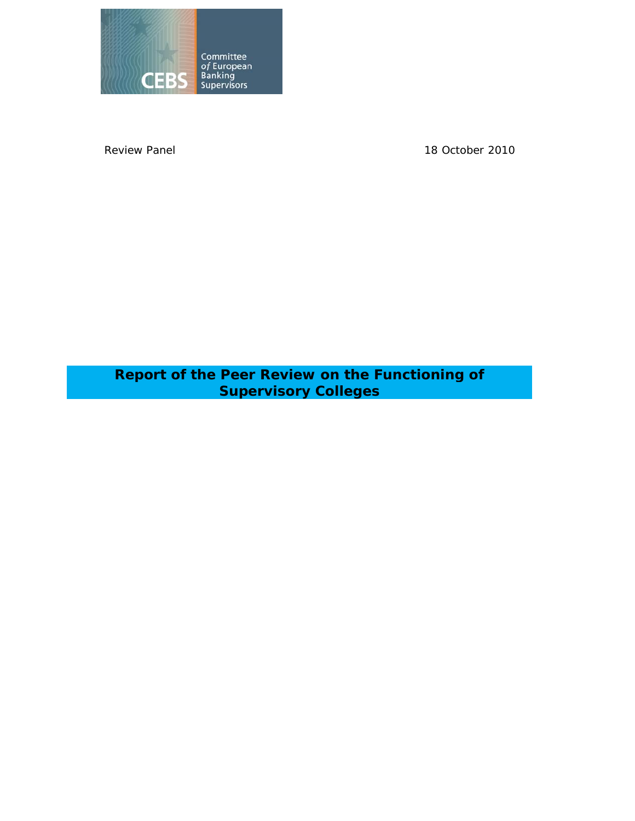

Review Panel 2010

**Report of the Peer Review on the Functioning of Supervisory Colleges**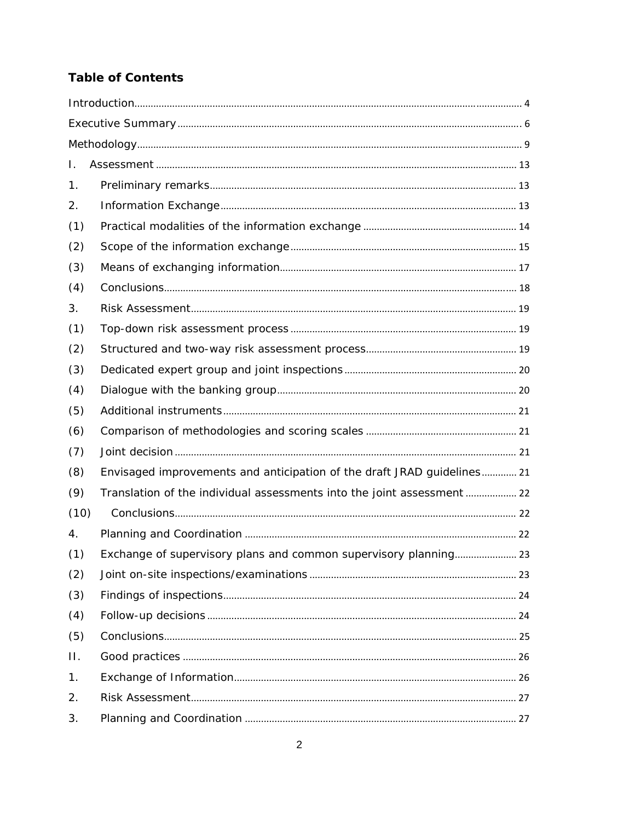# **Table of Contents**

| Τ.   |                                                                         |  |
|------|-------------------------------------------------------------------------|--|
| 1.   |                                                                         |  |
| 2.   |                                                                         |  |
| (1)  |                                                                         |  |
| (2)  |                                                                         |  |
| (3)  |                                                                         |  |
| (4)  |                                                                         |  |
| 3.   |                                                                         |  |
| (1)  |                                                                         |  |
| (2)  |                                                                         |  |
| (3)  |                                                                         |  |
| (4)  |                                                                         |  |
| (5)  |                                                                         |  |
| (6)  |                                                                         |  |
| (7)  |                                                                         |  |
| (8)  | Envisaged improvements and anticipation of the draft JRAD guidelines 21 |  |
| (9)  | Translation of the individual assessments into the joint assessment 22  |  |
| (10) |                                                                         |  |
| 4.   |                                                                         |  |
| (1)  | Exchange of supervisory plans and common supervisory planning 23        |  |
| (2)  |                                                                         |  |
| (3)  |                                                                         |  |
| (4)  |                                                                         |  |
| (5)  |                                                                         |  |
| П.   |                                                                         |  |
| 1.   |                                                                         |  |
| 2.   |                                                                         |  |
| 3.   |                                                                         |  |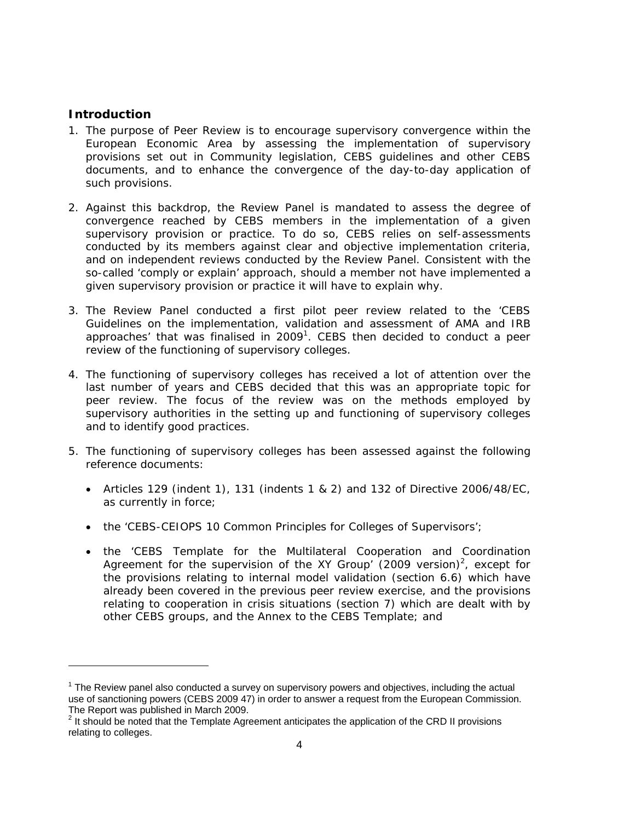# **Introduction**

l

- 1. The purpose of Peer Review is to encourage supervisory convergence within the European Economic Area by assessing the implementation of supervisory provisions set out in Community legislation, CEBS guidelines and other CEBS documents, and to enhance the convergence of the day-to-day application of such provisions.
- 2. Against this backdrop, the Review Panel is mandated to assess the degree of convergence reached by CEBS members in the implementation of a given supervisory provision or practice. To do so, CEBS relies on self-assessments conducted by its members against clear and objective implementation criteria, and on independent reviews conducted by the Review Panel. Consistent with the so-called 'comply or explain' approach, should a member not have implemented a given supervisory provision or practice it will have to explain why.
- 3. The Review Panel conducted a first pilot peer review related to the 'CEBS Guidelines on the implementation, validation and assessment of AMA and IRB approaches' that was finalised in  $2009<sup>1</sup>$ . CEBS then decided to conduct a peer review of the functioning of supervisory colleges.
- 4. The functioning of supervisory colleges has received a lot of attention over the last number of years and CEBS decided that this was an appropriate topic for peer review. The focus of the review was on the methods employed by supervisory authorities in the setting up and functioning of supervisory colleges and to identify good practices.
- 5. The functioning of supervisory colleges has been assessed against the following reference documents:
	- Articles 129 (indent 1), 131 (indents 1 & 2) and 132 of Directive 2006/48/EC, as currently in force;
	- the 'CEBS-CEIOPS 10 Common Principles for Colleges of Supervisors';
	- the 'CEBS Template for the Multilateral Cooperation and Coordination Agreement for the supervision of the XY Group' (2009 version)<sup>2</sup>, except for the provisions relating to internal model validation (section 6.6) which have already been covered in the previous peer review exercise, and the provisions relating to cooperation in crisis situations (section 7) which are dealt with by other CEBS groups, and the Annex to the CEBS Template; and

 $1$  The Review panel also conducted a survey on supervisory powers and objectives, including the actual use of sanctioning powers (CEBS 2009 47) in order to answer a request from the European Commission. The Report was published in March 2009.

 $2$  It should be noted that the Template Agreement anticipates the application of the CRD II provisions relating to colleges.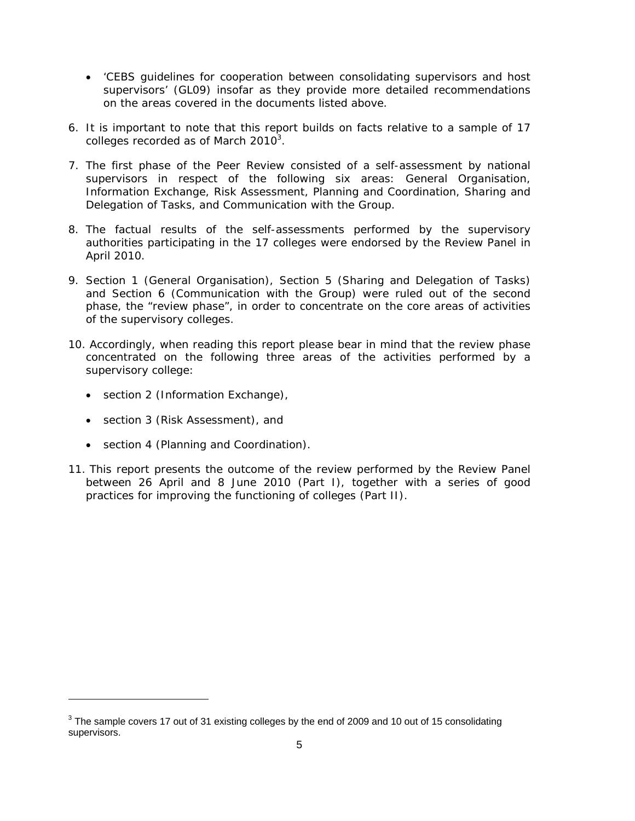- 'CEBS guidelines for cooperation between consolidating supervisors and host supervisors' (GL09) insofar as they provide more detailed recommendations on the areas covered in the documents listed above.
- 6. It is important to note that this report builds on facts relative to a sample of 17 colleges recorded as of March 2010 $^3$ .
- 7. The first phase of the Peer Review consisted of a self-assessment by national supervisors in respect of the following six areas: General Organisation, Information Exchange, Risk Assessment, Planning and Coordination, Sharing and Delegation of Tasks, and Communication with the Group.
- 8. The factual results of the self-assessments performed by the supervisory authorities participating in the 17 colleges were endorsed by the Review Panel in April 2010.
- 9. Section 1 (General Organisation), Section 5 (Sharing and Delegation of Tasks) and Section 6 (Communication with the Group) were ruled out of the second phase, the "review phase", in order to concentrate on the core areas of activities of the supervisory colleges.
- 10. Accordingly, when reading this report please bear in mind that the review phase concentrated on the following three areas of the activities performed by a supervisory college:
	- section 2 (Information Exchange),
	- section 3 (Risk Assessment), and

 $\overline{a}$ 

- section 4 (Planning and Coordination).
- 11. This report presents the outcome of the review performed by the Review Panel between 26 April and 8 June 2010 (Part I), together with a series of good practices for improving the functioning of colleges (Part II).

 $3$  The sample covers 17 out of 31 existing colleges by the end of 2009 and 10 out of 15 consolidating supervisors.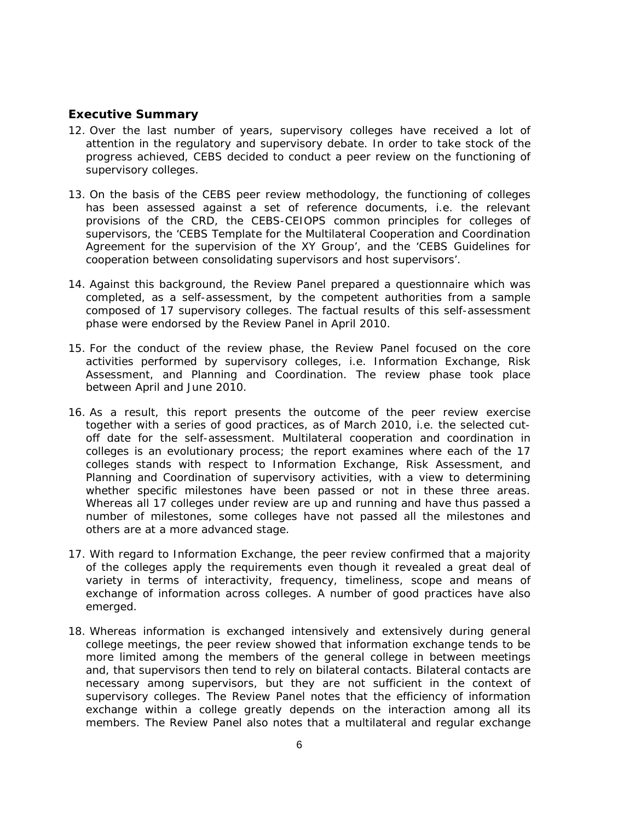# **Executive Summary**

- 12. Over the last number of years, supervisory colleges have received a lot of attention in the regulatory and supervisory debate. In order to take stock of the progress achieved, CEBS decided to conduct a peer review on the functioning of supervisory colleges.
- 13. On the basis of the CEBS peer review methodology, the functioning of colleges has been assessed against a set of reference documents, i.e. the relevant provisions of the CRD, the CEBS-CEIOPS common principles for colleges of supervisors, the 'CEBS Template for the Multilateral Cooperation and Coordination Agreement for the supervision of the XY Group', and the 'CEBS Guidelines for cooperation between consolidating supervisors and host supervisors'.
- 14. Against this background, the Review Panel prepared a questionnaire which was completed, as a self-assessment, by the competent authorities from a sample composed of 17 supervisory colleges. The factual results of this self-assessment phase were endorsed by the Review Panel in April 2010.
- 15. For the conduct of the review phase, the Review Panel focused on the core activities performed by supervisory colleges, i.e. Information Exchange, Risk Assessment, and Planning and Coordination. The review phase took place between April and June 2010.
- 16. As a result, this report presents the outcome of the peer review exercise together with a series of good practices, as of March 2010, i.e. the selected cutoff date for the self-assessment. Multilateral cooperation and coordination in colleges is an evolutionary process; the report examines where each of the 17 colleges stands with respect to Information Exchange, Risk Assessment, and Planning and Coordination of supervisory activities, with a view to determining whether specific milestones have been passed or not in these three areas. Whereas all 17 colleges under review are up and running and have thus passed a number of milestones, some colleges have not passed all the milestones and others are at a more advanced stage.
- 17. With regard to Information Exchange, the peer review confirmed that a majority of the colleges apply the requirements even though it revealed a great deal of variety in terms of interactivity, frequency, timeliness, scope and means of exchange of information across colleges. A number of good practices have also emerged.
- 18. Whereas information is exchanged intensively and extensively during general college meetings, the peer review showed that information exchange tends to be more limited among the members of the general college in between meetings and, that supervisors then tend to rely on bilateral contacts. Bilateral contacts are necessary among supervisors, but they are not sufficient in the context of supervisory colleges. The Review Panel notes that the efficiency of information exchange within a college greatly depends on the interaction among all its members. The Review Panel also notes that a multilateral and regular exchange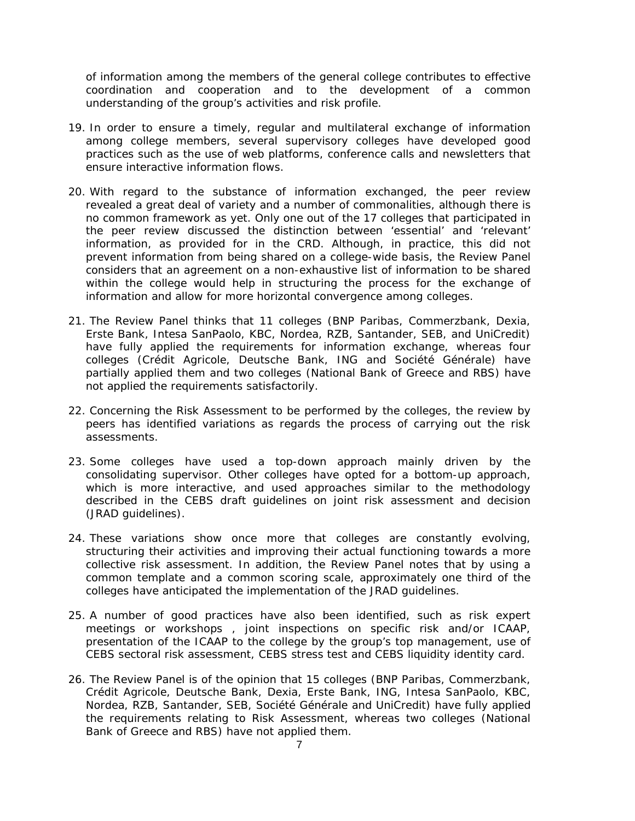of information among the members of the general college contributes to effective coordination and cooperation and to the development of a common understanding of the group's activities and risk profile.

- 19. In order to ensure a timely, regular and multilateral exchange of information among college members, several supervisory colleges have developed good practices such as the use of web platforms, conference calls and newsletters that ensure interactive information flows.
- 20. With regard to the substance of information exchanged, the peer review revealed a great deal of variety and a number of commonalities, although there is no common framework as yet. Only one out of the 17 colleges that participated in the peer review discussed the distinction between 'essential' and 'relevant' information, as provided for in the CRD. Although, in practice, this did not prevent information from being shared on a college-wide basis, the Review Panel considers that an agreement on a non-exhaustive list of information to be shared within the college would help in structuring the process for the exchange of information and allow for more horizontal convergence among colleges.
- 21. The Review Panel thinks that 11 colleges (BNP Paribas, Commerzbank, Dexia, Erste Bank, Intesa SanPaolo, KBC, Nordea, RZB, Santander, SEB, and UniCredit) have fully applied the requirements for information exchange, whereas four colleges (Crédit Agricole, Deutsche Bank, ING and Société Générale) have partially applied them and two colleges (National Bank of Greece and RBS) have not applied the requirements satisfactorily.
- 22. Concerning the Risk Assessment to be performed by the colleges, the review by peers has identified variations as regards the process of carrying out the risk assessments.
- 23. Some colleges have used a top-down approach mainly driven by the consolidating supervisor. Other colleges have opted for a bottom-up approach, which is more interactive, and used approaches similar to the methodology described in the CEBS draft guidelines on joint risk assessment and decision (JRAD guidelines).
- 24. These variations show once more that colleges are constantly evolving, structuring their activities and improving their actual functioning towards a more collective risk assessment. In addition, the Review Panel notes that by using a common template and a common scoring scale, approximately one third of the colleges have anticipated the implementation of the JRAD guidelines.
- 25. A number of good practices have also been identified, such as risk expert meetings or workshops , joint inspections on specific risk and/or ICAAP, presentation of the ICAAP to the college by the group's top management, use of CEBS sectoral risk assessment, CEBS stress test and CEBS liquidity identity card.
- 26. The Review Panel is of the opinion that 15 colleges (BNP Paribas, Commerzbank, Crédit Agricole, Deutsche Bank, Dexia, Erste Bank, ING, Intesa SanPaolo, KBC, Nordea, RZB, Santander, SEB, Société Générale and UniCredit) have fully applied the requirements relating to Risk Assessment, whereas two colleges (National Bank of Greece and RBS) have not applied them.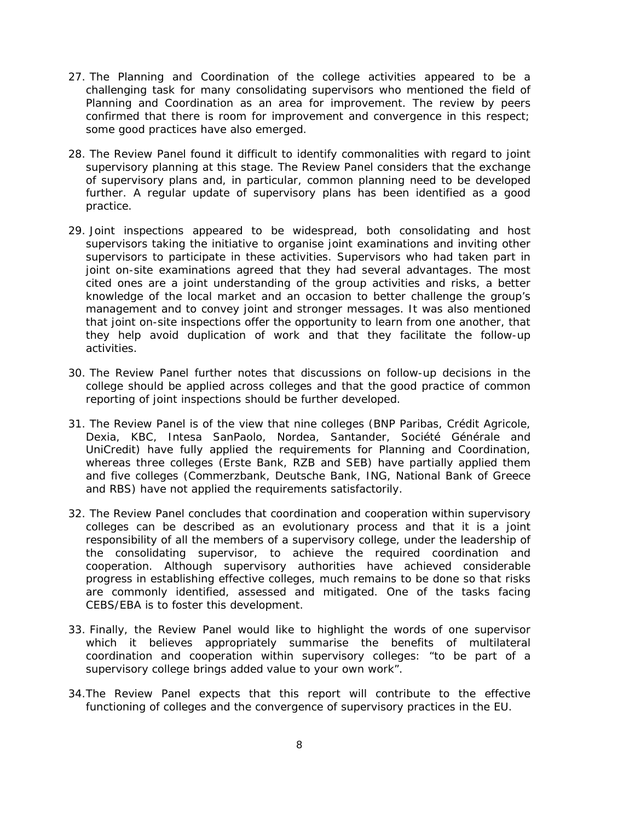- 27. The Planning and Coordination of the college activities appeared to be a challenging task for many consolidating supervisors who mentioned the field of Planning and Coordination as an area for improvement. The review by peers confirmed that there is room for improvement and convergence in this respect; some good practices have also emerged.
- 28. The Review Panel found it difficult to identify commonalities with regard to joint supervisory planning at this stage. The Review Panel considers that the exchange of supervisory plans and, in particular, common planning need to be developed further. A regular update of supervisory plans has been identified as a good practice.
- 29. Joint inspections appeared to be widespread, both consolidating and host supervisors taking the initiative to organise joint examinations and inviting other supervisors to participate in these activities. Supervisors who had taken part in joint on-site examinations agreed that they had several advantages. The most cited ones are a joint understanding of the group activities and risks, a better knowledge of the local market and an occasion to better challenge the group's management and to convey joint and stronger messages. It was also mentioned that joint on-site inspections offer the opportunity to learn from one another, that they help avoid duplication of work and that they facilitate the follow-up activities.
- 30. The Review Panel further notes that discussions on follow-up decisions in the college should be applied across colleges and that the good practice of common reporting of joint inspections should be further developed.
- 31. The Review Panel is of the view that nine colleges (BNP Paribas, Crédit Agricole, Dexia, KBC, Intesa SanPaolo, Nordea, Santander, Société Générale and UniCredit) have fully applied the requirements for Planning and Coordination, whereas three colleges (Erste Bank, RZB and SEB) have partially applied them and five colleges (Commerzbank, Deutsche Bank, ING, National Bank of Greece and RBS) have not applied the requirements satisfactorily.
- 32. The Review Panel concludes that coordination and cooperation within supervisory colleges can be described as an evolutionary process and that it is a joint responsibility of all the members of a supervisory college, under the leadership of the consolidating supervisor, to achieve the required coordination and cooperation. Although supervisory authorities have achieved considerable progress in establishing effective colleges, much remains to be done so that risks are commonly identified, assessed and mitigated. One of the tasks facing CEBS/EBA is to foster this development.
- 33. Finally, the Review Panel would like to highlight the words of one supervisor which it believes appropriately summarise the benefits of multilateral coordination and cooperation within supervisory colleges: "to be part of a supervisory college brings added value to your own work".
- 34.The Review Panel expects that this report will contribute to the effective functioning of colleges and the convergence of supervisory practices in the EU.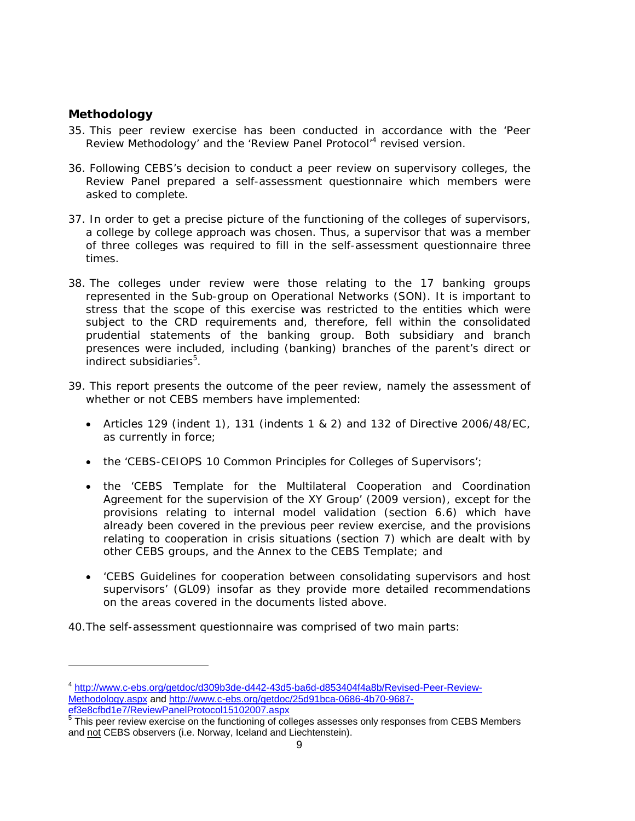# **Methodology**

l

- 35. This peer review exercise has been conducted in accordance with the 'Peer Review Methodology' and the 'Review Panel Protocol'<sup>4</sup> revised version.
- 36. Following CEBS's decision to conduct a peer review on supervisory colleges, the Review Panel prepared a self-assessment questionnaire which members were asked to complete.
- 37. In order to get a precise picture of the functioning of the colleges of supervisors, a college by college approach was chosen. Thus, a supervisor that was a member of three colleges was required to fill in the self-assessment questionnaire three times.
- 38. The colleges under review were those relating to the 17 banking groups represented in the Sub-group on Operational Networks (SON). It is important to stress that the scope of this exercise was restricted to the entities which were subject to the CRD requirements and, therefore, fell within the consolidated prudential statements of the banking group. Both subsidiary and branch presences were included, including (banking) branches of the parent's direct or indirect subsidiaries<sup>5</sup>.
- 39. This report presents the outcome of the peer review, namely the assessment of whether or not CEBS members have implemented:
	- Articles 129 (indent 1), 131 (indents 1 & 2) and 132 of Directive 2006/48/EC, as currently in force;
	- the 'CEBS-CEIOPS 10 Common Principles for Colleges of Supervisors';
	- the 'CEBS Template for the Multilateral Cooperation and Coordination Agreement for the supervision of the XY Group' (2009 version), except for the provisions relating to internal model validation (section 6.6) which have already been covered in the previous peer review exercise, and the provisions relating to cooperation in crisis situations (section 7) which are dealt with by other CEBS groups, and the Annex to the CEBS Template; and
	- 'CEBS Guidelines for cooperation between consolidating supervisors and host supervisors' (GL09) insofar as they provide more detailed recommendations on the areas covered in the documents listed above.

40.The self-assessment questionnaire was comprised of two main parts:

<sup>4</sup> http://www.c-ebs.org/getdoc/d309b3de-d442-43d5-ba6d-d853404f4a8b/Revised-Peer-Review-Methodology.aspx and http://www.c-ebs.org/getdoc/25d91bca-0686-4b70-9687- <u>ef3e8cfbd1e7/ReviewPanelProtocol15102007.aspx</u><br><sup>5</sup> This peer review exercise on the functioning of colleges assesses only responses from CEBS Members

and not CEBS observers (i.e. Norway, Iceland and Liechtenstein).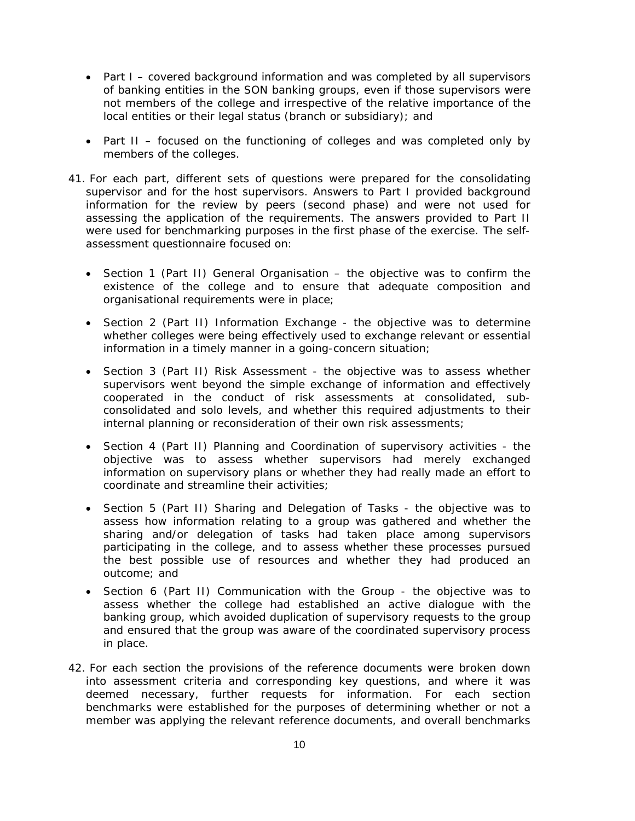- Part I covered background information and was completed by all supervisors of banking entities in the SON banking groups, even if those supervisors were not members of the college and irrespective of the relative importance of the local entities or their legal status (branch or subsidiary); and
- Part II focused on the functioning of colleges and was completed only by members of the colleges.
- 41. For each part, different sets of questions were prepared for the consolidating supervisor and for the host supervisors. Answers to Part I provided background information for the review by peers (second phase) and were not used for assessing the application of the requirements. The answers provided to Part II were used for benchmarking purposes in the first phase of the exercise. The selfassessment questionnaire focused on:
	- Section 1 (Part II) General Organisation the objective was to confirm the existence of the college and to ensure that adequate composition and organisational requirements were in place;
	- Section 2 (Part II) Information Exchange the objective was to determine whether colleges were being effectively used to exchange relevant or essential information in a timely manner in a going-concern situation;
	- Section 3 (Part II) Risk Assessment the objective was to assess whether supervisors went beyond the simple exchange of information and effectively cooperated in the conduct of risk assessments at consolidated, subconsolidated and solo levels, and whether this required adjustments to their internal planning or reconsideration of their own risk assessments;
	- Section 4 (Part II) Planning and Coordination of supervisory activities the objective was to assess whether supervisors had merely exchanged information on supervisory plans or whether they had really made an effort to coordinate and streamline their activities;
	- Section 5 (Part II) Sharing and Delegation of Tasks the objective was to assess how information relating to a group was gathered and whether the sharing and/or delegation of tasks had taken place among supervisors participating in the college, and to assess whether these processes pursued the best possible use of resources and whether they had produced an outcome; and
	- Section 6 (Part II) Communication with the Group the objective was to assess whether the college had established an active dialogue with the banking group, which avoided duplication of supervisory requests to the group and ensured that the group was aware of the coordinated supervisory process in place.
- 42. For each section the provisions of the reference documents were broken down into assessment criteria and corresponding key questions, and where it was deemed necessary, further requests for information. For each section benchmarks were established for the purposes of determining whether or not a member was applying the relevant reference documents, and overall benchmarks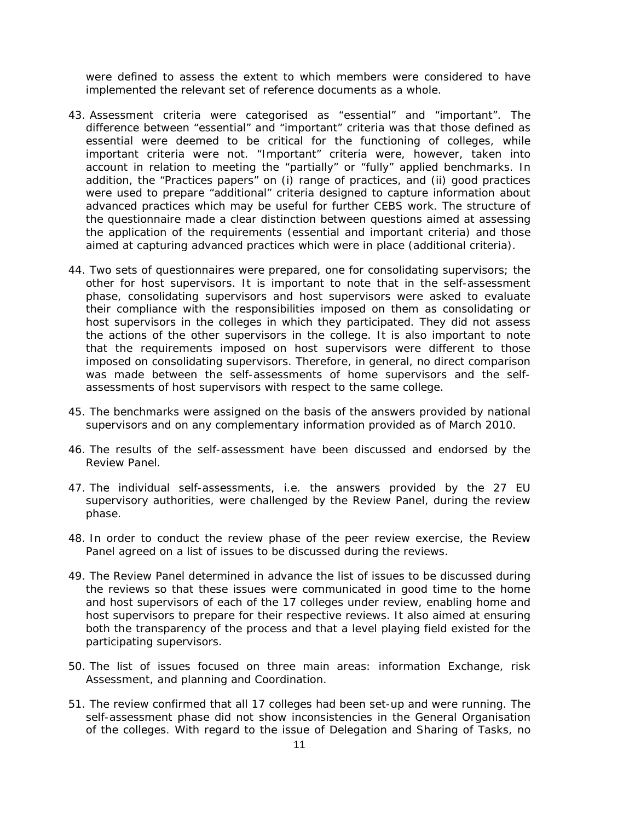were defined to assess the extent to which members were considered to have implemented the relevant set of reference documents as a whole.

- 43. Assessment criteria were categorised as "essential" and "important". The difference between "essential" and "important" criteria was that those defined as essential were deemed to be critical for the functioning of colleges, while important criteria were not. "Important" criteria were, however, taken into account in relation to meeting the "partially" or "fully" applied benchmarks. In addition, the "Practices papers" on (i) range of practices, and (ii) good practices were used to prepare "additional" criteria designed to capture information about advanced practices which may be useful for further CEBS work. The structure of the questionnaire made a clear distinction between questions aimed at assessing the application of the requirements (essential and important criteria) and those aimed at capturing advanced practices which were in place (additional criteria).
- 44. Two sets of questionnaires were prepared, one for consolidating supervisors; the other for host supervisors. It is important to note that in the self-assessment phase, consolidating supervisors and host supervisors were asked to evaluate their compliance with the responsibilities imposed on them as consolidating or host supervisors in the colleges in which they participated. They did not assess the actions of the other supervisors in the college. It is also important to note that the requirements imposed on host supervisors were different to those imposed on consolidating supervisors. Therefore, in general, no direct comparison was made between the self-assessments of home supervisors and the selfassessments of host supervisors with respect to the same college.
- 45. The benchmarks were assigned on the basis of the answers provided by national supervisors and on any complementary information provided as of March 2010.
- 46. The results of the self-assessment have been discussed and endorsed by the Review Panel.
- 47. The individual self-assessments, i.e. the answers provided by the 27 EU supervisory authorities, were challenged by the Review Panel, during the review phase.
- 48. In order to conduct the review phase of the peer review exercise, the Review Panel agreed on a list of issues to be discussed during the reviews.
- 49. The Review Panel determined in advance the list of issues to be discussed during the reviews so that these issues were communicated in good time to the home and host supervisors of each of the 17 colleges under review, enabling home and host supervisors to prepare for their respective reviews. It also aimed at ensuring both the transparency of the process and that a level playing field existed for the participating supervisors.
- 50. The list of issues focused on three main areas: information Exchange, risk Assessment, and planning and Coordination.
- 51. The review confirmed that all 17 colleges had been set-up and were running. The self-assessment phase did not show inconsistencies in the General Organisation of the colleges. With regard to the issue of Delegation and Sharing of Tasks, no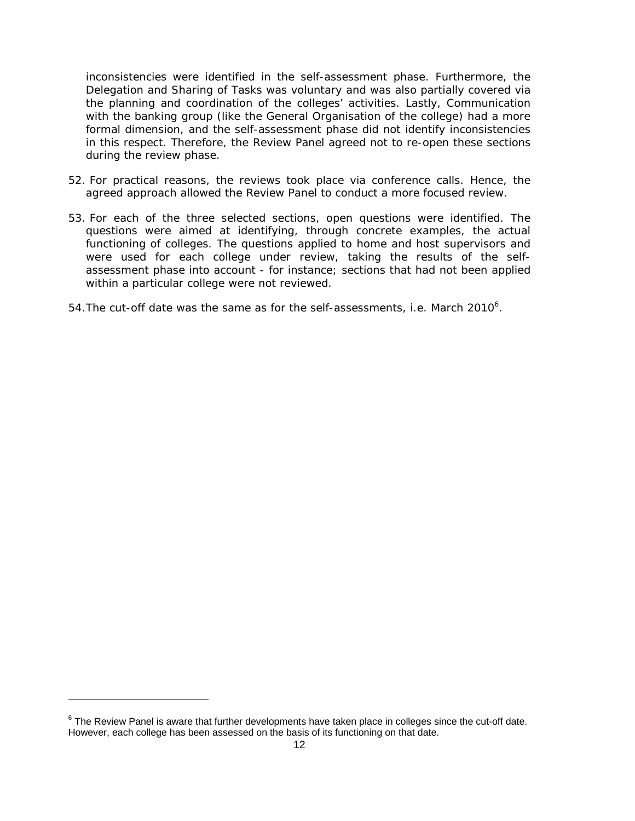inconsistencies were identified in the self-assessment phase. Furthermore, the Delegation and Sharing of Tasks was voluntary and was also partially covered via the planning and coordination of the colleges' activities. Lastly, Communication with the banking group (like the General Organisation of the college) had a more formal dimension, and the self-assessment phase did not identify inconsistencies in this respect. Therefore, the Review Panel agreed not to re-open these sections during the review phase.

- 52. For practical reasons, the reviews took place via conference calls. Hence, the agreed approach allowed the Review Panel to conduct a more focused review.
- 53. For each of the three selected sections, open questions were identified. The questions were aimed at identifying, through concrete examples, the actual functioning of colleges. The questions applied to home and host supervisors and were used for each college under review, taking the results of the selfassessment phase into account - for instance; sections that had not been applied within a particular college were not reviewed.
- 54. The cut-off date was the same as for the self-assessments, i.e. March 2010 $^6$ .

 $\overline{a}$ 

 $6$  The Review Panel is aware that further developments have taken place in colleges since the cut-off date. However, each college has been assessed on the basis of its functioning on that date.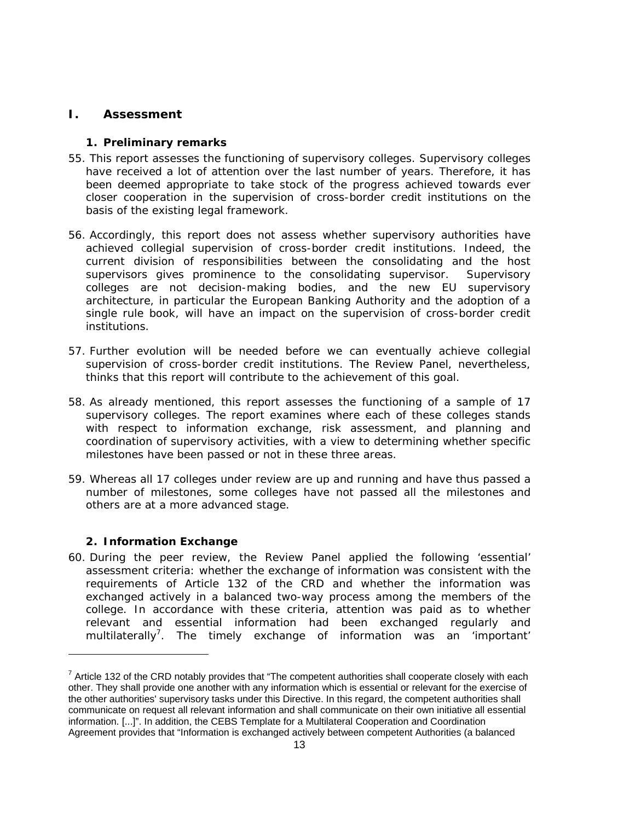# **I. Assessment**

#### **1. Preliminary remarks**

- 55. This report assesses the functioning of supervisory colleges. Supervisory colleges have received a lot of attention over the last number of years. Therefore, it has been deemed appropriate to take stock of the progress achieved towards ever closer cooperation in the supervision of cross-border credit institutions on the basis of the existing legal framework.
- 56. Accordingly, this report does not assess whether supervisory authorities have achieved collegial supervision of cross-border credit institutions. Indeed, the current division of responsibilities between the consolidating and the host supervisors gives prominence to the consolidating supervisor. Supervisory colleges are not decision-making bodies, and the new EU supervisory architecture, in particular the European Banking Authority and the adoption of a single rule book, will have an impact on the supervision of cross-border credit institutions.
- 57. Further evolution will be needed before we can eventually achieve collegial supervision of cross-border credit institutions. The Review Panel, nevertheless, thinks that this report will contribute to the achievement of this goal.
- 58. As already mentioned, this report assesses the functioning of a sample of 17 supervisory colleges. The report examines where each of these colleges stands with respect to information exchange, risk assessment, and planning and coordination of supervisory activities, with a view to determining whether specific milestones have been passed or not in these three areas.
- 59. Whereas all 17 colleges under review are up and running and have thus passed a number of milestones, some colleges have not passed all the milestones and others are at a more advanced stage.

#### **2. Information Exchange**

 $\overline{a}$ 

60. During the peer review, the Review Panel applied the following 'essential' assessment criteria: whether the exchange of information was consistent with the requirements of Article 132 of the CRD and whether the information was exchanged actively in a balanced two-way process among the members of the college. In accordance with these criteria, attention was paid as to whether relevant and essential information had been exchanged regularly and multilaterally<sup>7</sup>. The timely exchange of information was an 'important'

 $7$  Article 132 of the CRD notably provides that "The competent authorities shall cooperate closely with each other. They shall provide one another with any information which is essential or relevant for the exercise of the other authorities' supervisory tasks under this Directive. In this regard, the competent authorities shall communicate on request all relevant information and shall communicate on their own initiative all essential information. [...]". In addition, the CEBS Template for a Multilateral Cooperation and Coordination Agreement provides that "Information is exchanged actively between competent Authorities (a balanced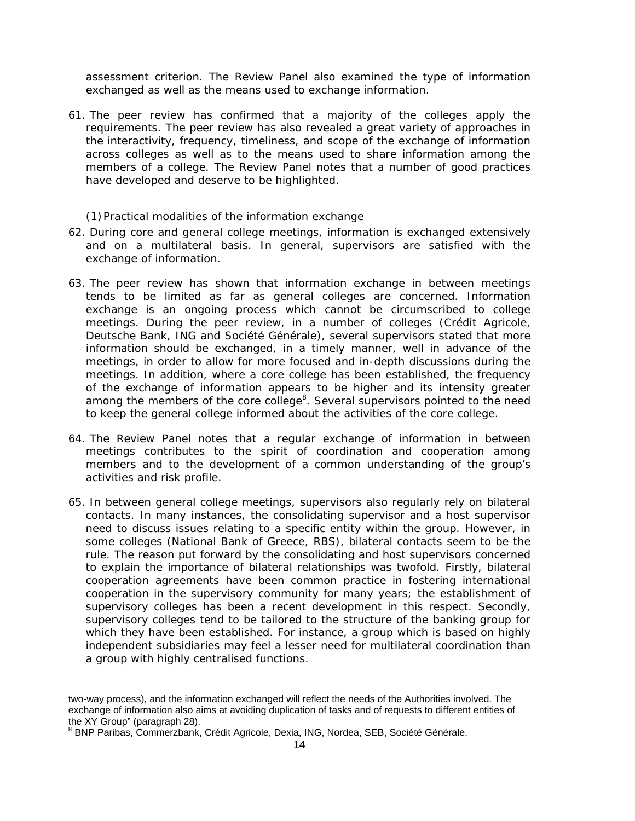assessment criterion. The Review Panel also examined the type of information exchanged as well as the means used to exchange information.

61. The peer review has confirmed that a majority of the colleges apply the requirements. The peer review has also revealed a great variety of approaches in the interactivity, frequency, timeliness, and scope of the exchange of information across colleges as well as to the means used to share information among the members of a college. The Review Panel notes that a number of good practices have developed and deserve to be highlighted.

#### *(1)Practical modalities of the information exchange*

- 62. During core and general college meetings, information is exchanged extensively and on a multilateral basis. In general, supervisors are satisfied with the exchange of information.
- 63. The peer review has shown that information exchange in between meetings tends to be limited as far as general colleges are concerned. Information exchange is an ongoing process which cannot be circumscribed to college meetings. During the peer review, in a number of colleges (Crédit Agricole, Deutsche Bank, ING and Société Générale), several supervisors stated that more information should be exchanged, in a timely manner, well in advance of the meetings, in order to allow for more focused and in-depth discussions during the meetings. In addition, where a core college has been established, the frequency of the exchange of information appears to be higher and its intensity greater among the members of the core college<sup>8</sup>. Several supervisors pointed to the need to keep the general college informed about the activities of the core college.
- 64. The Review Panel notes that a regular exchange of information in between meetings contributes to the spirit of coordination and cooperation among members and to the development of a common understanding of the group's activities and risk profile.
- 65. In between general college meetings, supervisors also regularly rely on bilateral contacts. In many instances, the consolidating supervisor and a host supervisor need to discuss issues relating to a specific entity within the group. However, in some colleges (National Bank of Greece, RBS), bilateral contacts seem to be the rule. The reason put forward by the consolidating and host supervisors concerned to explain the importance of bilateral relationships was twofold. Firstly, bilateral cooperation agreements have been common practice in fostering international cooperation in the supervisory community for many years; the establishment of supervisory colleges has been a recent development in this respect. Secondly, supervisory colleges tend to be tailored to the structure of the banking group for which they have been established. For instance, a group which is based on highly independent subsidiaries may feel a lesser need for multilateral coordination than a group with highly centralised functions.

1

two-way process), and the information exchanged will reflect the needs of the Authorities involved. The exchange of information also aims at avoiding duplication of tasks and of requests to different entities of the XY Group" (paragraph 28).

<sup>&</sup>lt;sup>8</sup> BNP Paribas, Commerzbank, Crédit Agricole, Dexia, ING, Nordea, SEB, Société Générale.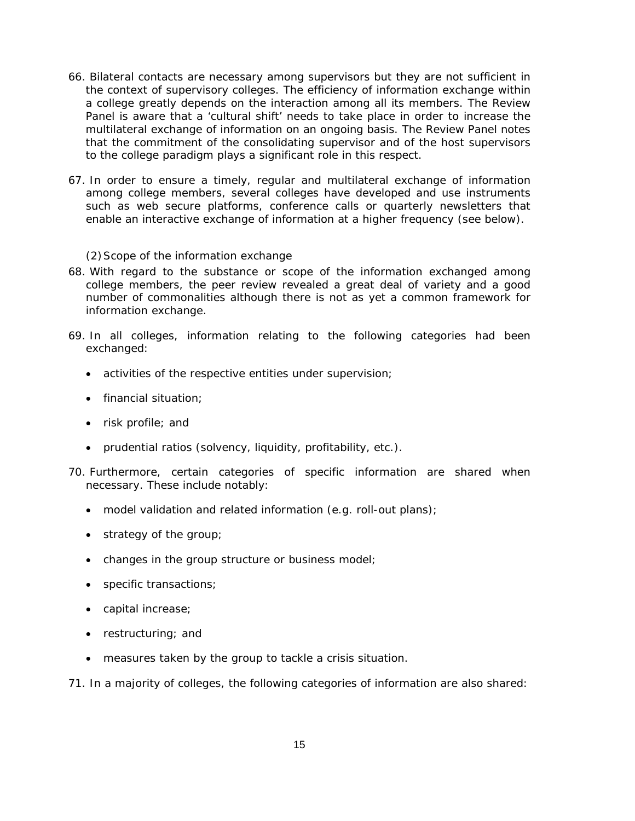- 66. Bilateral contacts are necessary among supervisors but they are not sufficient in the context of supervisory colleges. The efficiency of information exchange within a college greatly depends on the interaction among all its members. The Review Panel is aware that a 'cultural shift' needs to take place in order to increase the multilateral exchange of information on an ongoing basis. The Review Panel notes that the commitment of the consolidating supervisor and of the host supervisors to the college paradigm plays a significant role in this respect.
- 67. In order to ensure a timely, regular and multilateral exchange of information among college members, several colleges have developed and use instruments such as web secure platforms, conference calls or quarterly newsletters that enable an interactive exchange of information at a higher frequency (see below).

#### *(2)Scope of the information exchange*

- 68. With regard to the substance or scope of the information exchanged among college members, the peer review revealed a great deal of variety and a good number of commonalities although there is not as yet a common framework for information exchange.
- 69. In all colleges, information relating to the following categories had been exchanged:
	- activities of the respective entities under supervision;
	- financial situation;
	- risk profile; and
	- prudential ratios (solvency, liquidity, profitability, etc.).
- 70. Furthermore, certain categories of specific information are shared when necessary. These include notably:
	- model validation and related information (e.g. roll-out plans);
	- strategy of the group;
	- changes in the group structure or business model;
	- specific transactions;
	- capital increase;
	- restructuring; and
	- measures taken by the group to tackle a crisis situation.

71. In a majority of colleges, the following categories of information are also shared: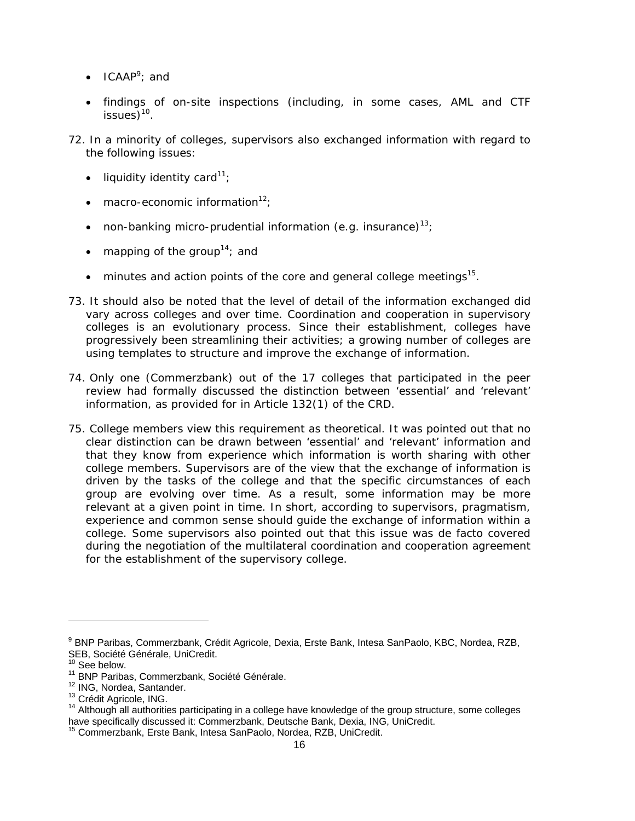- $\bullet$  ICAAP<sup>9</sup>; and
- findings of on-site inspections (including, in some cases, AML and CTF issues $10^{10}$ .
- 72. In a minority of colleges, supervisors also exchanged information with regard to the following issues:
	- liquidity identity card<sup>11</sup>;
	- macro-economic information $12$ :
	- non-banking micro-prudential information (e.g. insurance)<sup>13</sup>;
	- mapping of the group<sup>14</sup>; and
	- minutes and action points of the core and general college meetings $15$ .
- 73. It should also be noted that the level of detail of the information exchanged did vary across colleges and over time. Coordination and cooperation in supervisory colleges is an evolutionary process. Since their establishment, colleges have progressively been streamlining their activities; a growing number of colleges are using templates to structure and improve the exchange of information.
- 74. Only one (Commerzbank) out of the 17 colleges that participated in the peer review had formally discussed the distinction between 'essential' and 'relevant' information, as provided for in Article 132(1) of the CRD.
- 75. College members view this requirement as theoretical. It was pointed out that no clear distinction can be drawn between 'essential' and 'relevant' information and that they know from experience which information is worth sharing with other college members. Supervisors are of the view that the exchange of information is driven by the tasks of the college and that the specific circumstances of each group are evolving over time. As a result, some information may be more relevant at a given point in time. In short, according to supervisors, pragmatism, experience and common sense should guide the exchange of information within a college. Some supervisors also pointed out that this issue was *de facto* covered during the negotiation of the multilateral coordination and cooperation agreement for the establishment of the supervisory college.

l

<sup>&</sup>lt;sup>9</sup> BNP Paribas, Commerzbank, Crédit Agricole, Dexia, Erste Bank, Intesa SanPaolo, KBC, Nordea, RZB, SEB, Société Générale, UniCredit.

<sup>&</sup>lt;sup>10</sup> See below.<br><sup>11</sup> BNP Paribas, Commerzbank, Société Générale.<br><sup>12</sup> ING, Nordea, Santander.<br><sup>13</sup> Crédit Agricole, ING.<br><sup>14</sup> Although all authorities participating in a college have knowledge of the group structure, some have specifically discussed it: Commerzbank, Deutsche Bank, Dexia, ING, UniCredit.

<sup>&</sup>lt;sup>15</sup> Commerzbank, Erste Bank, Intesa SanPaolo, Nordea, RZB, UniCredit.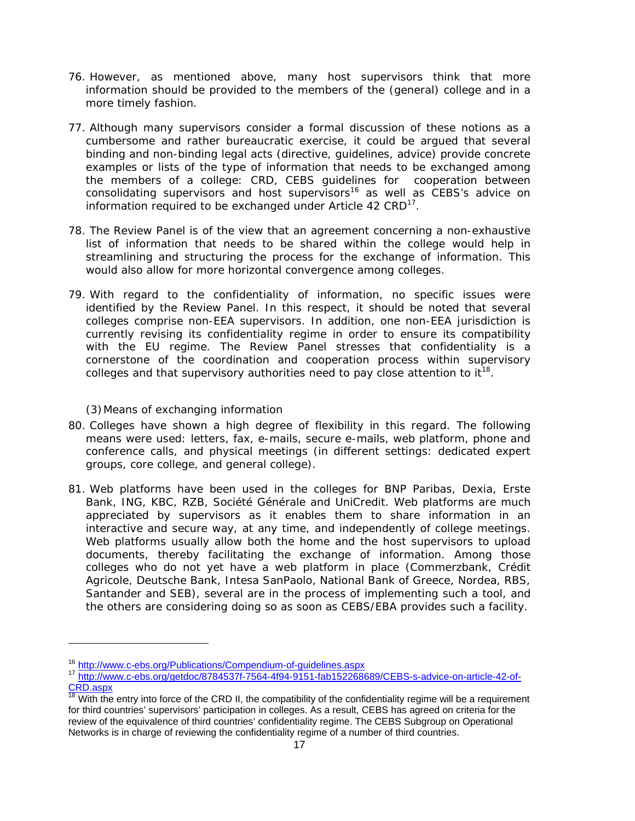- 76. However, as mentioned above, many host supervisors think that more information should be provided to the members of the (general) college and in a more timely fashion.
- 77. Although many supervisors consider a formal discussion of these notions as a cumbersome and rather bureaucratic exercise, it could be argued that several binding and non-binding legal acts (directive, guidelines, advice) provide concrete examples or lists of the type of information that needs to be exchanged among the members of a college: CRD, CEBS guidelines for cooperation between consolidating supervisors and host supervisors<sup>16</sup> as well as CEBS's advice on information required to be exchanged under Article 42 CRD<sup>17</sup>.
- 78. The Review Panel is of the view that an agreement concerning a non-exhaustive list of information that needs to be shared within the college would help in streamlining and structuring the process for the exchange of information. This would also allow for more horizontal convergence among colleges.
- 79. With regard to the confidentiality of information, no specific issues were identified by the Review Panel. In this respect, it should be noted that several colleges comprise non-EEA supervisors. In addition, one non-EEA jurisdiction is currently revising its confidentiality regime in order to ensure its compatibility with the EU regime. The Review Panel stresses that confidentiality is a cornerstone of the coordination and cooperation process within supervisory colleges and that supervisory authorities need to pay close attention to  $it^{18}$ .

### *(3)Means of exchanging information*

- 80. Colleges have shown a high degree of flexibility in this regard. The following means were used: letters, fax, e-mails, secure e-mails, web platform, phone and conference calls, and physical meetings (in different settings: dedicated expert groups, core college, and general college).
- 81. Web platforms have been used in the colleges for BNP Paribas, Dexia, Erste Bank, ING, KBC, RZB, Société Générale and UniCredit. Web platforms are much appreciated by supervisors as it enables them to share information in an interactive and secure way, at any time, and independently of college meetings. Web platforms usually allow both the home and the host supervisors to upload documents, thereby facilitating the exchange of information. Among those colleges who do not yet have a web platform in place (Commerzbank, Crédit Agricole, Deutsche Bank, Intesa SanPaolo, National Bank of Greece, Nordea, RBS, Santander and SEB), several are in the process of implementing such a tool, and the others are considering doing so as soon as CEBS/EBA provides such a facility.

 $\overline{a}$ 

<sup>&</sup>lt;sup>16</sup> http://www.c-ebs.org/Publications/Compendium-of-guidelines.aspx<br><sup>17</sup> http://www.c-ebs.org/getdoc/8784537f-7564-4f94-9151-fab152268689/CEBS-s-advice-on-article-42-of-CRD.aspx

With the entry into force of the CRD II, the compatibility of the confidentiality regime will be a requirement for third countries' supervisors' participation in colleges. As a result, CEBS has agreed on criteria for the review of the equivalence of third countries' confidentiality regime. The CEBS Subgroup on Operational Networks is in charge of reviewing the confidentiality regime of a number of third countries.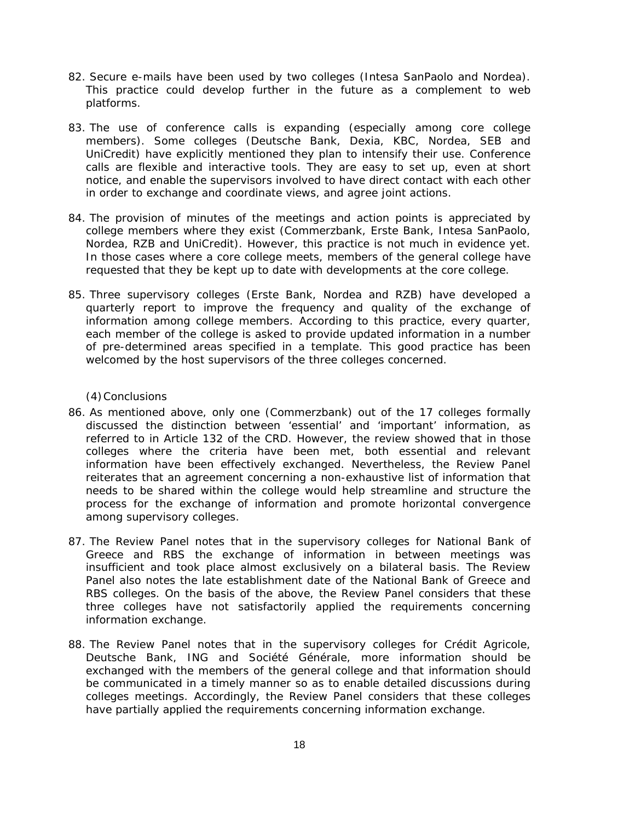- 82. Secure e-mails have been used by two colleges (Intesa SanPaolo and Nordea). This practice could develop further in the future as a complement to web platforms.
- 83. The use of conference calls is expanding (especially among core college members). Some colleges (Deutsche Bank, Dexia, KBC, Nordea, SEB and UniCredit) have explicitly mentioned they plan to intensify their use. Conference calls are flexible and interactive tools. They are easy to set up, even at short notice, and enable the supervisors involved to have direct contact with each other in order to exchange and coordinate views, and agree joint actions.
- 84. The provision of minutes of the meetings and action points is appreciated by college members where they exist (Commerzbank, Erste Bank, Intesa SanPaolo, Nordea, RZB and UniCredit). However, this practice is not much in evidence yet. In those cases where a core college meets, members of the general college have requested that they be kept up to date with developments at the core college.
- 85. Three supervisory colleges (Erste Bank, Nordea and RZB) have developed a quarterly report to improve the frequency and quality of the exchange of information among college members. According to this practice, every quarter, each member of the college is asked to provide updated information in a number of pre-determined areas specified in a template. This good practice has been welcomed by the host supervisors of the three colleges concerned.

### *(4)Conclusions*

- 86. As mentioned above, only one (Commerzbank) out of the 17 colleges formally discussed the distinction between 'essential' and 'important' information, as referred to in Article 132 of the CRD. However, the review showed that in those colleges where the criteria have been met, both essential and relevant information have been effectively exchanged. Nevertheless, the Review Panel reiterates that an agreement concerning a non-exhaustive list of information that needs to be shared within the college would help streamline and structure the process for the exchange of information and promote horizontal convergence among supervisory colleges.
- 87. The Review Panel notes that in the supervisory colleges for National Bank of Greece and RBS the exchange of information in between meetings was insufficient and took place almost exclusively on a bilateral basis. The Review Panel also notes the late establishment date of the National Bank of Greece and RBS colleges. On the basis of the above, the Review Panel considers that these three colleges have not satisfactorily applied the requirements concerning information exchange.
- 88. The Review Panel notes that in the supervisory colleges for Crédit Agricole, Deutsche Bank, ING and Société Générale, more information should be exchanged with the members of the general college and that information should be communicated in a timely manner so as to enable detailed discussions during colleges meetings. Accordingly, the Review Panel considers that these colleges have partially applied the requirements concerning information exchange.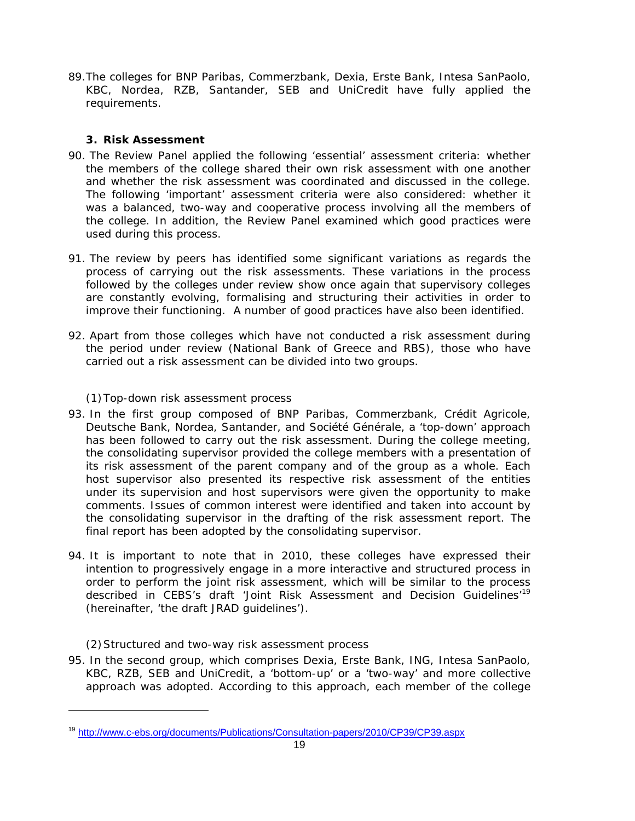89.The colleges for BNP Paribas, Commerzbank, Dexia, Erste Bank, Intesa SanPaolo, KBC, Nordea, RZB, Santander, SEB and UniCredit have fully applied the requirements.

# **3. Risk Assessment**

- 90. The Review Panel applied the following 'essential' assessment criteria: whether the members of the college shared their own risk assessment with one another and whether the risk assessment was coordinated and discussed in the college. The following 'important' assessment criteria were also considered: whether it was a balanced, two-way and cooperative process involving all the members of the college. In addition, the Review Panel examined which good practices were used during this process.
- 91. The review by peers has identified some significant variations as regards the process of carrying out the risk assessments. These variations in the process followed by the colleges under review show once again that supervisory colleges are constantly evolving, formalising and structuring their activities in order to improve their functioning. A number of good practices have also been identified.
- 92. Apart from those colleges which have not conducted a risk assessment during the period under review (National Bank of Greece and RBS), those who have carried out a risk assessment can be divided into two groups.

# *(1)Top-down risk assessment process*

- 93. In the first group composed of BNP Paribas, Commerzbank, Crédit Agricole, Deutsche Bank, Nordea, Santander, and Société Générale, a 'top-down' approach has been followed to carry out the risk assessment. During the college meeting, the consolidating supervisor provided the college members with a presentation of its risk assessment of the parent company and of the group as a whole. Each host supervisor also presented its respective risk assessment of the entities under its supervision and host supervisors were given the opportunity to make comments. Issues of common interest were identified and taken into account by the consolidating supervisor in the drafting of the risk assessment report. The final report has been adopted by the consolidating supervisor.
- 94. It is important to note that in 2010, these colleges have expressed their intention to progressively engage in a more interactive and structured process in order to perform the joint risk assessment, which will be similar to the process described in CEBS's draft 'Joint Risk Assessment and Decision Guidelines'<sup>19</sup> (hereinafter, 'the draft JRAD guidelines').

# *(2)Structured and two-way risk assessment process*

 $\overline{a}$ 

95. In the second group, which comprises Dexia, Erste Bank, ING, Intesa SanPaolo, KBC, RZB, SEB and UniCredit, a 'bottom-up' or a 'two-way' and more collective approach was adopted. According to this approach, each member of the college

<sup>19</sup> http://www.c-ebs.org/documents/Publications/Consultation-papers/2010/CP39/CP39.aspx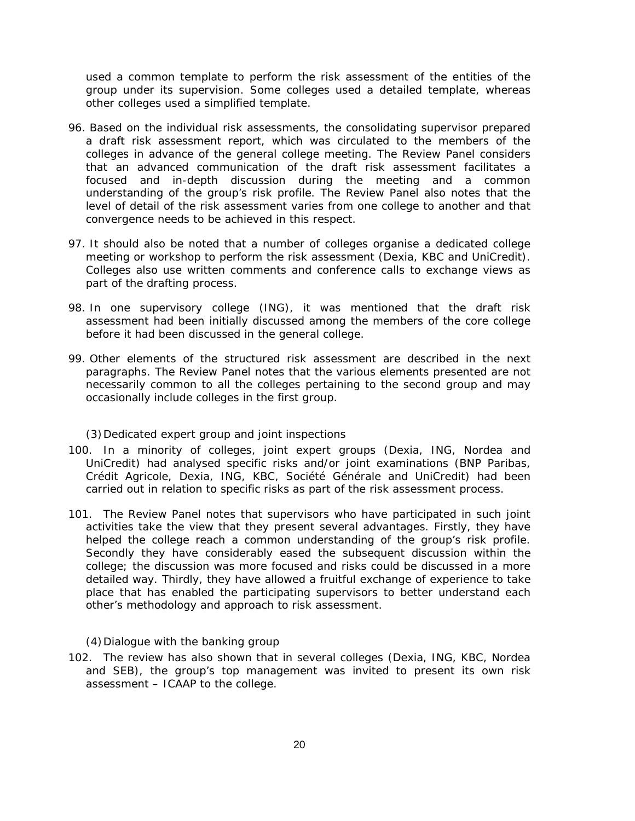used a common template to perform the risk assessment of the entities of the group under its supervision. Some colleges used a detailed template, whereas other colleges used a simplified template.

- 96. Based on the individual risk assessments, the consolidating supervisor prepared a draft risk assessment report, which was circulated to the members of the colleges in advance of the general college meeting. The Review Panel considers that an advanced communication of the draft risk assessment facilitates a focused and in-depth discussion during the meeting and a common understanding of the group's risk profile. The Review Panel also notes that the level of detail of the risk assessment varies from one college to another and that convergence needs to be achieved in this respect.
- 97. It should also be noted that a number of colleges organise a dedicated college meeting or workshop to perform the risk assessment (Dexia, KBC and UniCredit). Colleges also use written comments and conference calls to exchange views as part of the drafting process.
- 98. In one supervisory college (ING), it was mentioned that the draft risk assessment had been initially discussed among the members of the core college before it had been discussed in the general college.
- 99. Other elements of the structured risk assessment are described in the next paragraphs. The Review Panel notes that the various elements presented are not necessarily common to all the colleges pertaining to the second group and may occasionally include colleges in the first group.

#### *(3)Dedicated expert group and joint inspections*

- 100. In a minority of colleges, joint expert groups (Dexia, ING, Nordea and UniCredit) had analysed specific risks and/or joint examinations (BNP Paribas, Crédit Agricole, Dexia, ING, KBC, Société Générale and UniCredit) had been carried out in relation to specific risks as part of the risk assessment process.
- 101. The Review Panel notes that supervisors who have participated in such joint activities take the view that they present several advantages. Firstly, they have helped the college reach a common understanding of the group's risk profile. Secondly they have considerably eased the subsequent discussion within the college; the discussion was more focused and risks could be discussed in a more detailed way. Thirdly, they have allowed a fruitful exchange of experience to take place that has enabled the participating supervisors to better understand each other's methodology and approach to risk assessment.

#### *(4)Dialogue with the banking group*

102. The review has also shown that in several colleges (Dexia, ING, KBC, Nordea and SEB), the group's top management was invited to present its own risk assessment – ICAAP to the college.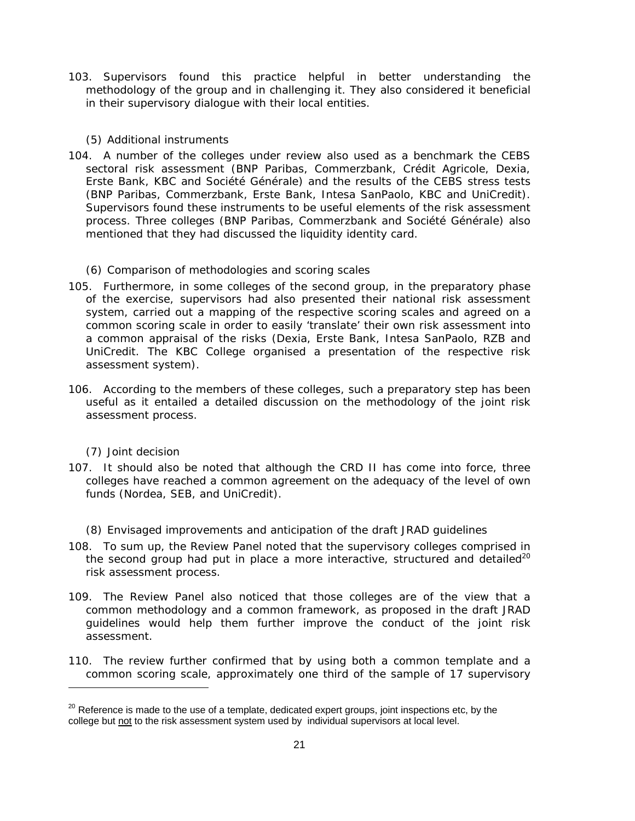103. Supervisors found this practice helpful in better understanding the methodology of the group and in challenging it. They also considered it beneficial in their supervisory dialogue with their local entities.

### *(5) Additional instruments*

104. A number of the colleges under review also used as a benchmark the CEBS sectoral risk assessment (BNP Paribas, Commerzbank, Crédit Agricole, Dexia, Erste Bank, KBC and Société Générale) and the results of the CEBS stress tests (BNP Paribas, Commerzbank, Erste Bank, Intesa SanPaolo, KBC and UniCredit). Supervisors found these instruments to be useful elements of the risk assessment process. Three colleges (BNP Paribas, Commerzbank and Société Générale) also mentioned that they had discussed the liquidity identity card.

#### *(6) Comparison of methodologies and scoring scales*

- 105. Furthermore, in some colleges of the second group, in the preparatory phase of the exercise, supervisors had also presented their national risk assessment system, carried out a mapping of the respective scoring scales and agreed on a common scoring scale in order to easily 'translate' their own risk assessment into a common appraisal of the risks (Dexia, Erste Bank, Intesa SanPaolo, RZB and UniCredit. The KBC College organised a presentation of the respective risk assessment system).
- 106. According to the members of these colleges, such a preparatory step has been useful as it entailed a detailed discussion on the methodology of the joint risk assessment process.

#### *(7) Joint decision*

107. It should also be noted that although the CRD II has come into force, three colleges have reached a common agreement on the adequacy of the level of own funds (Nordea, SEB, and UniCredit).

#### *(8) Envisaged improvements and anticipation of the draft JRAD guidelines*

- 108. To sum up, the Review Panel noted that the supervisory colleges comprised in the second group had put in place a more interactive, structured and detailed<sup>20</sup> risk assessment process.
- 109. The Review Panel also noticed that those colleges are of the view that a common methodology and a common framework, as proposed in the draft JRAD guidelines would help them further improve the conduct of the joint risk assessment.
- 110. The review further confirmed that by using both a common template *and* a common scoring scale, approximately one third of the sample of 17 supervisory  $\overline{a}$

 $20$  Reference is made to the use of a template, dedicated expert groups, joint inspections etc, by the college but not to the risk assessment system used by individual supervisors at local level.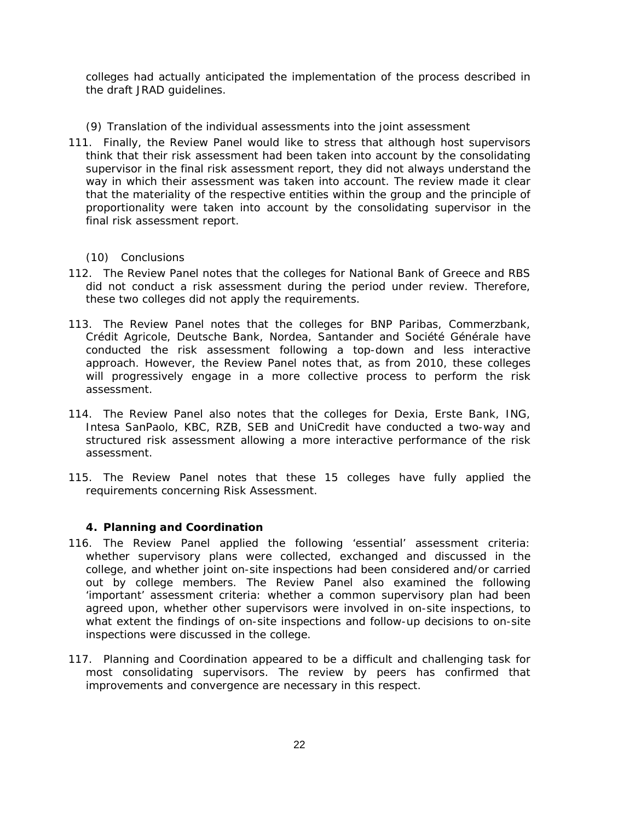colleges had actually anticipated the implementation of the process described in the draft JRAD guidelines.

### *(9) Translation of the individual assessments into the joint assessment*

111. Finally, the Review Panel would like to stress that although host supervisors think that their risk assessment had been taken into account by the consolidating supervisor in the final risk assessment report, they did not always understand the way in which their assessment was taken into account. The review made it clear that the materiality of the respective entities within the group and the principle of proportionality were taken into account by the consolidating supervisor in the final risk assessment report.

### *(10) Conclusions*

- 112. The Review Panel notes that the colleges for National Bank of Greece and RBS did not conduct a risk assessment during the period under review. Therefore, these two colleges did not apply the requirements.
- 113. The Review Panel notes that the colleges for BNP Paribas, Commerzbank, Crédit Agricole, Deutsche Bank, Nordea, Santander and Société Générale have conducted the risk assessment following a top-down and less interactive approach. However, the Review Panel notes that, as from 2010, these colleges will progressively engage in a more collective process to perform the risk assessment.
- 114. The Review Panel also notes that the colleges for Dexia, Erste Bank, ING, Intesa SanPaolo, KBC, RZB, SEB and UniCredit have conducted a two-way and structured risk assessment allowing a more interactive performance of the risk assessment.
- 115. The Review Panel notes that these 15 colleges have fully applied the requirements concerning Risk Assessment.

#### **4. Planning and Coordination**

- 116. The Review Panel applied the following 'essential' assessment criteria: whether supervisory plans were collected, exchanged and discussed in the college, and whether joint on-site inspections had been considered and/or carried out by college members. The Review Panel also examined the following 'important' assessment criteria: whether a common supervisory plan had been agreed upon, whether other supervisors were involved in on-site inspections, to what extent the findings of on-site inspections and follow-up decisions to on-site inspections were discussed in the college.
- 117. Planning and Coordination appeared to be a difficult and challenging task for most consolidating supervisors. The review by peers has confirmed that improvements and convergence are necessary in this respect.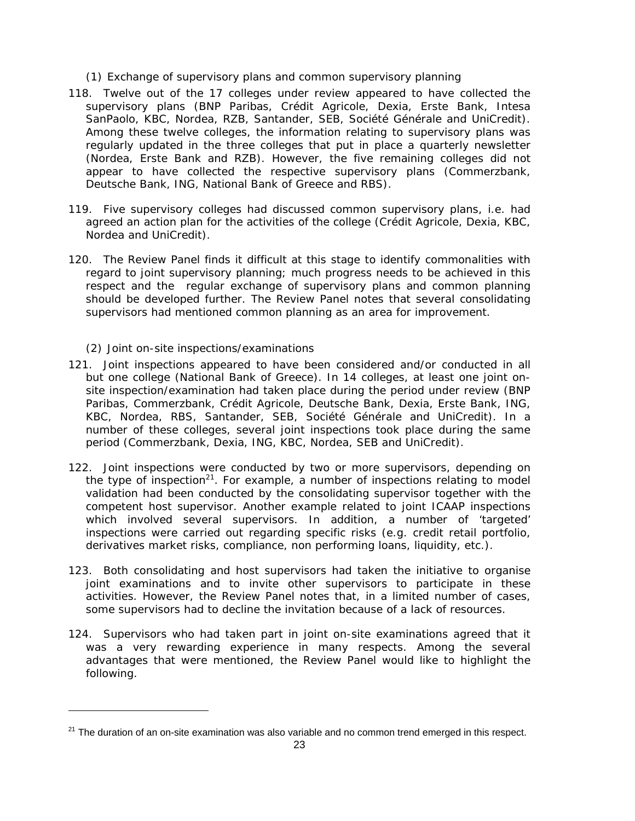### *(1) Exchange of supervisory plans and common supervisory planning*

- 118. Twelve out of the 17 colleges under review appeared to have collected the supervisory plans (BNP Paribas, Crédit Agricole, Dexia, Erste Bank, Intesa SanPaolo, KBC, Nordea, RZB, Santander, SEB, Société Générale and UniCredit). Among these twelve colleges, the information relating to supervisory plans was regularly updated in the three colleges that put in place a quarterly newsletter (Nordea, Erste Bank and RZB). However, the five remaining colleges did not appear to have collected the respective supervisory plans (Commerzbank, Deutsche Bank, ING, National Bank of Greece and RBS).
- 119. Five supervisory colleges had discussed common supervisory plans, i.e. had agreed an action plan for the activities of the college (Crédit Agricole, Dexia, KBC, Nordea and UniCredit).
- 120. The Review Panel finds it difficult at this stage to identify commonalities with regard to joint supervisory planning; much progress needs to be achieved in this respect and the regular exchange of supervisory plans and common planning should be developed further. The Review Panel notes that several consolidating supervisors had mentioned common planning as an area for improvement.

### *(2) Joint on-site inspections/examinations*

 $\overline{a}$ 

- 121. Joint inspections appeared to have been considered and/or conducted in all but one college (National Bank of Greece). In 14 colleges, at least one joint onsite inspection/examination had taken place during the period under review (BNP Paribas, Commerzbank, Crédit Agricole, Deutsche Bank, Dexia, Erste Bank, ING, KBC, Nordea, RBS, Santander, SEB, Société Générale and UniCredit). In a number of these colleges, several joint inspections took place during the same period (Commerzbank, Dexia, ING, KBC, Nordea, SEB and UniCredit).
- 122. Joint inspections were conducted by two or more supervisors, depending on the type of inspection<sup>21</sup>. For example, a number of inspections relating to model validation had been conducted by the consolidating supervisor together with the competent host supervisor. Another example related to joint ICAAP inspections which involved several supervisors. In addition, a number of 'targeted' inspections were carried out regarding specific risks (e.g. credit retail portfolio, derivatives market risks, compliance, non performing loans, liquidity, etc.).
- 123. Both consolidating and host supervisors had taken the initiative to organise joint examinations and to invite other supervisors to participate in these activities. However, the Review Panel notes that, in a limited number of cases, some supervisors had to decline the invitation because of a lack of resources.
- 124. Supervisors who had taken part in joint on-site examinations agreed that it was a very rewarding experience in many respects. Among the several advantages that were mentioned, the Review Panel would like to highlight the following.

 $21$  The duration of an on-site examination was also variable and no common trend emerged in this respect.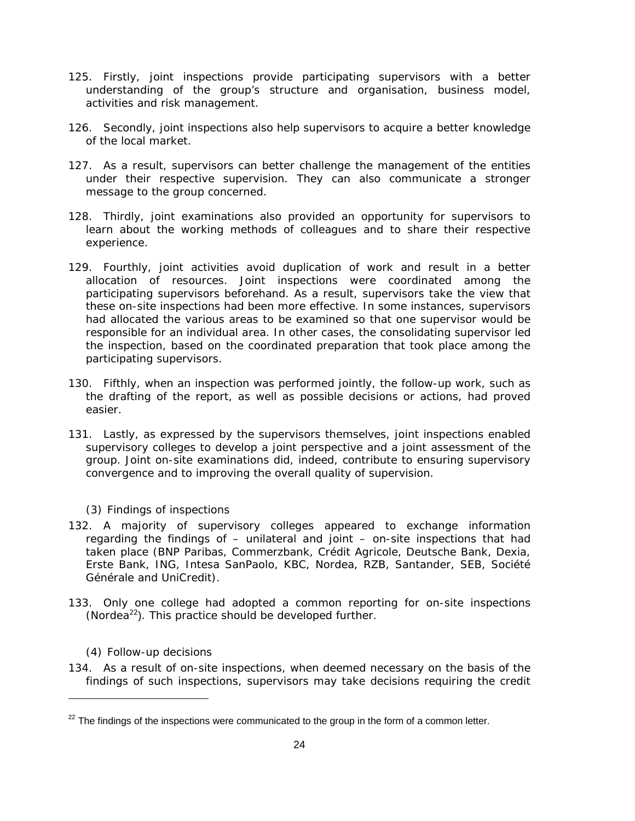- 125. Firstly, joint inspections provide participating supervisors with a better understanding of the group's structure and organisation, business model, activities and risk management.
- 126. Secondly, joint inspections also help supervisors to acquire a better knowledge of the local market.
- 127. As a result, supervisors can better challenge the management of the entities under their respective supervision. They can also communicate a stronger message to the group concerned.
- 128. Thirdly, joint examinations also provided an opportunity for supervisors to learn about the working methods of colleagues and to share their respective experience.
- 129. Fourthly, joint activities avoid duplication of work and result in a better allocation of resources. Joint inspections were coordinated among the participating supervisors beforehand. As a result, supervisors take the view that these on-site inspections had been more effective. In some instances, supervisors had allocated the various areas to be examined so that one supervisor would be responsible for an individual area. In other cases, the consolidating supervisor led the inspection, based on the coordinated preparation that took place among the participating supervisors.
- 130. Fifthly, when an inspection was performed jointly, the follow-up work, such as the drafting of the report, as well as possible decisions or actions, had proved easier.
- 131. Lastly, as expressed by the supervisors themselves, joint inspections enabled supervisory colleges to develop a joint perspective and a joint assessment of the group. Joint on-site examinations did, indeed, contribute to ensuring supervisory convergence and to improving the overall quality of supervision.

# *(3) Findings of inspections*

- 132. A majority of supervisory colleges appeared to exchange information regarding the findings of – unilateral and joint – on-site inspections that had taken place (BNP Paribas, Commerzbank, Crédit Agricole, Deutsche Bank, Dexia, Erste Bank, ING, Intesa SanPaolo, KBC, Nordea, RZB, Santander, SEB, Société Générale and UniCredit).
- 133. Only one college had adopted a common reporting for on-site inspections (Nordea $^{22}$ ). This practice should be developed further.

#### *(4) Follow-up decisions*

 $\overline{a}$ 

134. As a result of on-site inspections, when deemed necessary on the basis of the findings of such inspections, supervisors may take decisions requiring the credit

 $22$  The findings of the inspections were communicated to the group in the form of a common letter.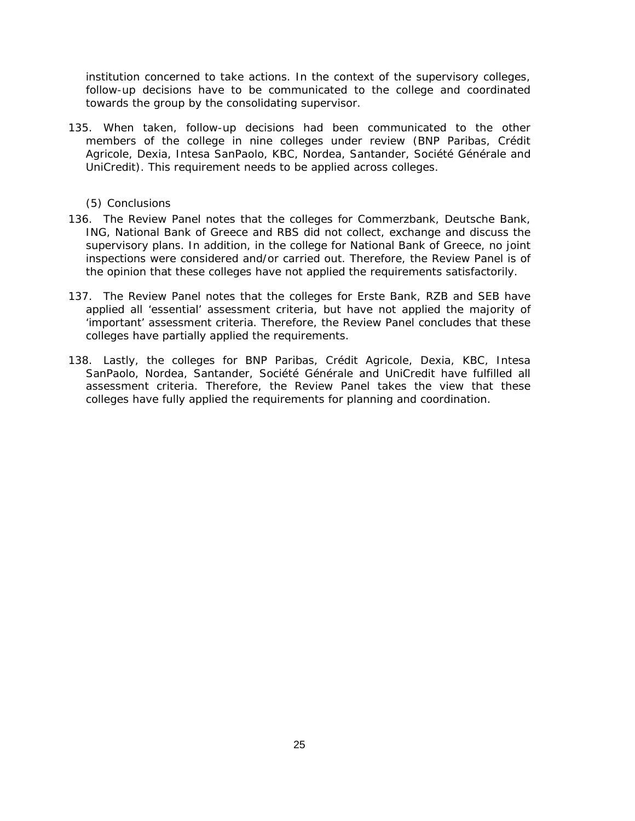institution concerned to take actions. In the context of the supervisory colleges, follow-up decisions have to be communicated to the college and coordinated towards the group by the consolidating supervisor.

135. When taken, follow-up decisions had been communicated to the other members of the college in nine colleges under review (BNP Paribas, Crédit Agricole, Dexia, Intesa SanPaolo, KBC, Nordea, Santander, Société Générale and UniCredit). This requirement needs to be applied across colleges.

#### *(5) Conclusions*

- 136. The Review Panel notes that the colleges for Commerzbank, Deutsche Bank, ING, National Bank of Greece and RBS did not collect, exchange and discuss the supervisory plans. In addition, in the college for National Bank of Greece, no joint inspections were considered and/or carried out. Therefore, the Review Panel is of the opinion that these colleges have not applied the requirements satisfactorily.
- 137. The Review Panel notes that the colleges for Erste Bank, RZB and SEB have applied all 'essential' assessment criteria, but have not applied the majority of 'important' assessment criteria. Therefore, the Review Panel concludes that these colleges have partially applied the requirements.
- 138. Lastly, the colleges for BNP Paribas, Crédit Agricole, Dexia, KBC, Intesa SanPaolo, Nordea, Santander, Société Générale and UniCredit have fulfilled all assessment criteria. Therefore, the Review Panel takes the view that these colleges have fully applied the requirements for planning and coordination.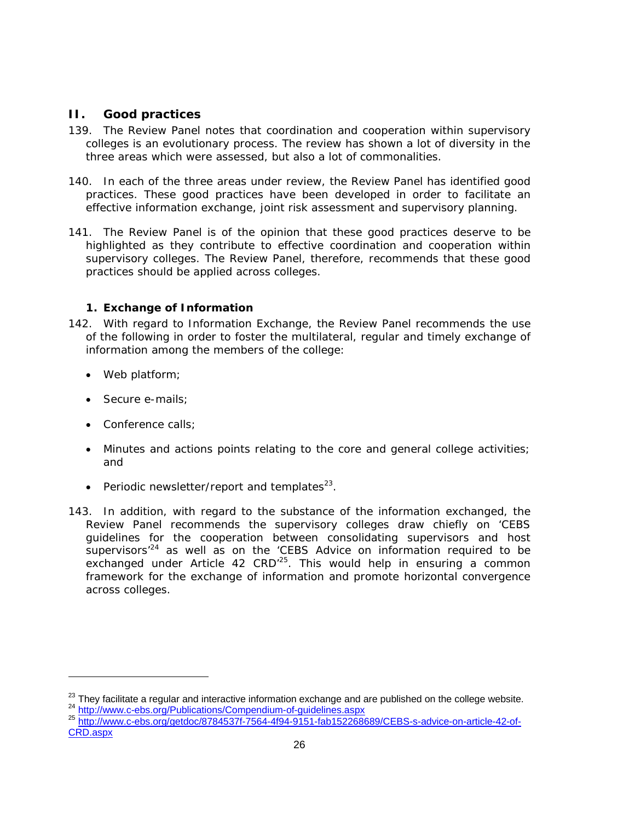# **II. Good practices**

- 139. The Review Panel notes that coordination and cooperation within supervisory colleges is an evolutionary process. The review has shown a lot of diversity in the three areas which were assessed, but also a lot of commonalities.
- 140. In each of the three areas under review, the Review Panel has identified good practices. These good practices have been developed in order to facilitate an effective information exchange, joint risk assessment and supervisory planning.
- 141. The Review Panel is of the opinion that these good practices deserve to be highlighted as they contribute to effective coordination and cooperation within supervisory colleges. The Review Panel, therefore, recommends that these good practices should be applied across colleges.

# **1. Exchange of Information**

- 142. With regard to Information Exchange, the Review Panel recommends the use of the following in order to foster the multilateral, regular and timely exchange of information among the members of the college:
	- Web platform;
	- Secure e-mails;
	- Conference calls;

l

- Minutes and actions points relating to the core and general college activities; and
- Periodic newsletter/report and templates $^{23}$ .
- 143. In addition, with regard to the substance of the information exchanged, the Review Panel recommends the supervisory colleges draw chiefly on 'CEBS guidelines for the cooperation between consolidating supervisors and host supervisors<sup>'24</sup> as well as on the 'CEBS Advice on information required to be exchanged under Article 42  $CRD<sup>25</sup>$ . This would help in ensuring a common framework for the exchange of information and promote horizontal convergence across colleges.

CRD.aspx

<sup>&</sup>lt;sup>23</sup> They facilitate a regular and interactive information exchange and are published on the college website.<br>  $^{24}$  http://www.c-ebs.org/Publications/Compendium-of-guidelines.aspx<br>  $^{25}$  http://www.c-ebs.org/qetdoc/878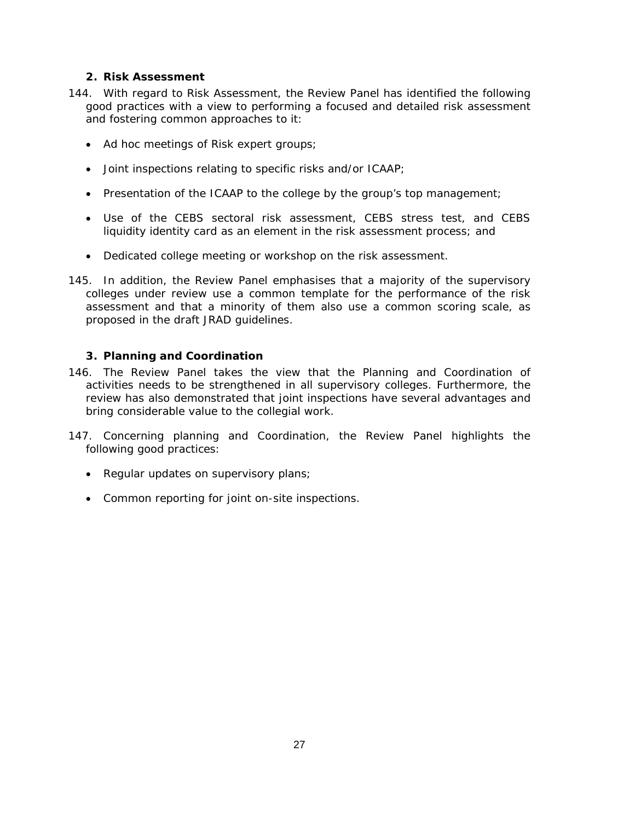# **2. Risk Assessment**

- 144. With regard to Risk Assessment, the Review Panel has identified the following good practices with a view to performing a focused and detailed risk assessment and fostering common approaches to it:
	- Ad hoc meetings of Risk expert groups;
	- Joint inspections relating to specific risks and/or ICAAP;
	- Presentation of the ICAAP to the college by the group's top management;
	- Use of the CEBS sectoral risk assessment, CEBS stress test, and CEBS liquidity identity card as an element in the risk assessment process; and
	- Dedicated college meeting or workshop on the risk assessment.
- 145. In addition, the Review Panel emphasises that a majority of the supervisory colleges under review use a common template for the performance of the risk assessment and that a minority of them also use a common scoring scale, as proposed in the draft JRAD guidelines.

### **3. Planning and Coordination**

- 146. The Review Panel takes the view that the Planning and Coordination of activities needs to be strengthened in all supervisory colleges. Furthermore, the review has also demonstrated that joint inspections have several advantages and bring considerable value to the collegial work.
- 147. Concerning planning and Coordination, the Review Panel highlights the following good practices:
	- Regular updates on supervisory plans;
	- Common reporting for joint on-site inspections.